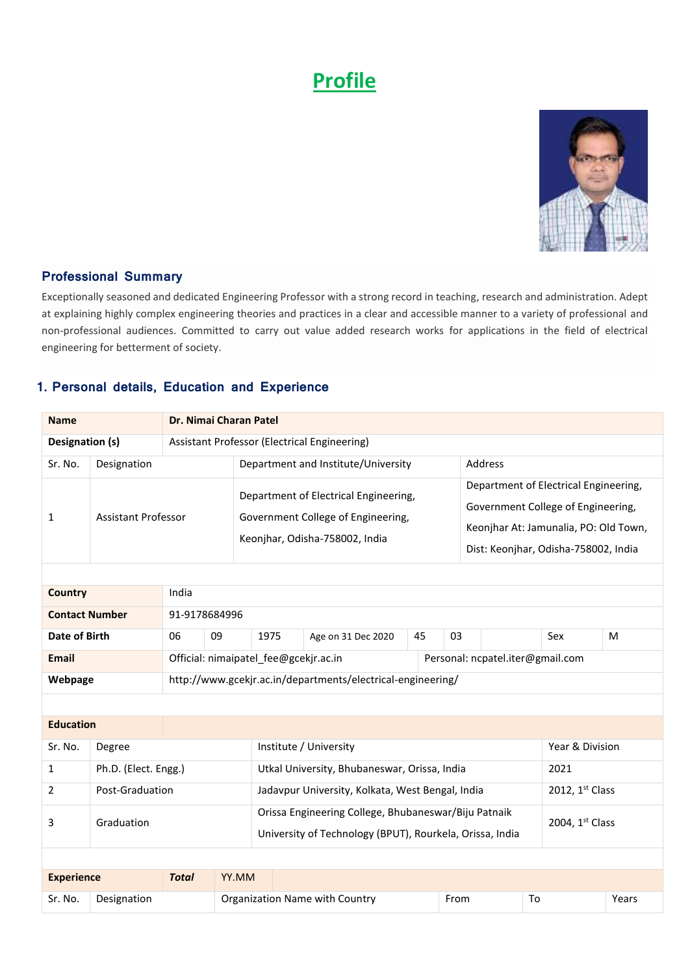# **Profile**



#### **Professional Summary**

Exceptionally seasoned and dedicated Engineering Professor with a strong record in teaching, research and administration. Adept at explaining highly complex engineering theories and practices in a clear and accessible manner to a variety of professional and non-professional audiences. Committed to carry out value added research works for applications in the field of electrical engineering for betterment of society.

#### **1. Personal details, Education and Experience**

| Dr. Nimai Charan Patel<br><b>Name</b>                           |                            |                                                                           |                    |                                                                                                                                     |                                                  |  |         |                                                                                                                                                              |                 |  |       |
|-----------------------------------------------------------------|----------------------------|---------------------------------------------------------------------------|--------------------|-------------------------------------------------------------------------------------------------------------------------------------|--------------------------------------------------|--|---------|--------------------------------------------------------------------------------------------------------------------------------------------------------------|-----------------|--|-------|
| Designation (s)<br>Assistant Professor (Electrical Engineering) |                            |                                                                           |                    |                                                                                                                                     |                                                  |  |         |                                                                                                                                                              |                 |  |       |
| Sr. No.                                                         | Designation                |                                                                           |                    |                                                                                                                                     | Department and Institute/University              |  | Address |                                                                                                                                                              |                 |  |       |
| 1                                                               | <b>Assistant Professor</b> |                                                                           |                    | Department of Electrical Engineering,<br>Government College of Engineering,<br>Keonjhar, Odisha-758002, India                       |                                                  |  |         | Department of Electrical Engineering,<br>Government College of Engineering,<br>Keonjhar At: Jamunalia, PO: Old Town,<br>Dist: Keonjhar, Odisha-758002, India |                 |  |       |
|                                                                 |                            |                                                                           |                    |                                                                                                                                     |                                                  |  |         |                                                                                                                                                              |                 |  |       |
| <b>Country</b>                                                  |                            | India                                                                     |                    |                                                                                                                                     |                                                  |  |         |                                                                                                                                                              |                 |  |       |
| <b>Contact Number</b>                                           |                            | 91-9178684996                                                             |                    |                                                                                                                                     |                                                  |  |         |                                                                                                                                                              |                 |  |       |
| 09<br>Date of Birth<br>06                                       |                            | 1975                                                                      | Age on 31 Dec 2020 | 45                                                                                                                                  | 03                                               |  |         | Sex                                                                                                                                                          | M               |  |       |
| <b>Email</b>                                                    |                            | Official: nimaipatel_fee@gcekjr.ac.in<br>Personal: ncpatel.iter@gmail.com |                    |                                                                                                                                     |                                                  |  |         |                                                                                                                                                              |                 |  |       |
| Webpage                                                         |                            |                                                                           |                    | http://www.gcekjr.ac.in/departments/electrical-engineering/                                                                         |                                                  |  |         |                                                                                                                                                              |                 |  |       |
|                                                                 |                            |                                                                           |                    |                                                                                                                                     |                                                  |  |         |                                                                                                                                                              |                 |  |       |
| <b>Education</b>                                                |                            |                                                                           |                    |                                                                                                                                     |                                                  |  |         |                                                                                                                                                              |                 |  |       |
| Sr. No.                                                         | Degree                     |                                                                           |                    | Institute / University                                                                                                              |                                                  |  |         | Year & Division                                                                                                                                              |                 |  |       |
| $\mathbf{1}$                                                    | Ph.D. (Elect. Engg.)       |                                                                           |                    | Utkal University, Bhubaneswar, Orissa, India                                                                                        |                                                  |  |         | 2021                                                                                                                                                         |                 |  |       |
| $\overline{2}$                                                  | Post-Graduation            |                                                                           |                    |                                                                                                                                     | Jadavpur University, Kolkata, West Bengal, India |  |         |                                                                                                                                                              | 2012, 1st Class |  |       |
| 3                                                               | Graduation                 |                                                                           |                    | Orissa Engineering College, Bhubaneswar/Biju Patnaik<br>2004, 1st Class<br>University of Technology (BPUT), Rourkela, Orissa, India |                                                  |  |         |                                                                                                                                                              |                 |  |       |
|                                                                 |                            |                                                                           |                    |                                                                                                                                     |                                                  |  |         |                                                                                                                                                              |                 |  |       |
| <b>Experience</b>                                               |                            | <b>Total</b>                                                              | YY.MM              |                                                                                                                                     |                                                  |  |         |                                                                                                                                                              |                 |  |       |
| Sr. No.                                                         | Designation                |                                                                           |                    |                                                                                                                                     | Organization Name with Country                   |  | From    |                                                                                                                                                              | To              |  | Years |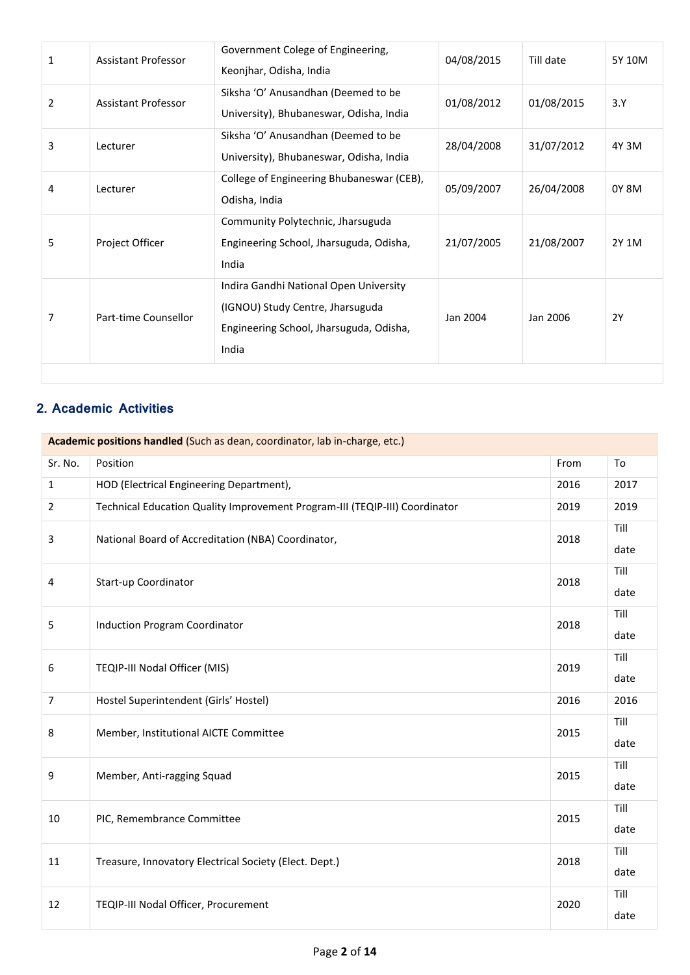| 1 | <b>Assistant Professor</b> | Government Colege of Engineering,<br>Keonjhar, Odisha, India                                                                   | 04/08/2015 | Till date  | 5Y 10M |
|---|----------------------------|--------------------------------------------------------------------------------------------------------------------------------|------------|------------|--------|
| 2 | Assistant Professor        | Siksha 'O' Anusandhan (Deemed to be<br>University), Bhubaneswar, Odisha, India                                                 | 01/08/2012 | 01/08/2015 | 3.Y    |
| 3 | Lecturer                   | Siksha 'O' Anusandhan (Deemed to be<br>University), Bhubaneswar, Odisha, India                                                 | 28/04/2008 | 31/07/2012 | 4Y 3M  |
| 4 | Lecturer                   | College of Engineering Bhubaneswar (CEB),<br>Odisha, India                                                                     | 05/09/2007 | 26/04/2008 | 0Y 8M  |
| 5 | Project Officer            | Community Polytechnic, Jharsuguda<br>Engineering School, Jharsuguda, Odisha,<br>India                                          | 21/07/2005 | 21/08/2007 | 2Y 1M  |
| 7 | Part-time Counsellor       | Indira Gandhi National Open University<br>(IGNOU) Study Centre, Jharsuguda<br>Engineering School, Jharsuguda, Odisha,<br>India | Jan 2004   | Jan 2006   | 2Y     |
|   |                            |                                                                                                                                |            |            |        |

## **2. Academic Activities**

| Academic positions handled (Such as dean, coordinator, lab in-charge, etc.) |                                                                             |      |      |  |  |  |
|-----------------------------------------------------------------------------|-----------------------------------------------------------------------------|------|------|--|--|--|
| Sr. No.                                                                     | Position                                                                    | From | To   |  |  |  |
| $\mathbf{1}$                                                                | HOD (Electrical Engineering Department),                                    | 2016 | 2017 |  |  |  |
| $\overline{2}$                                                              | Technical Education Quality Improvement Program-III (TEQIP-III) Coordinator | 2019 | 2019 |  |  |  |
| 3                                                                           | National Board of Accreditation (NBA) Coordinator,                          | 2018 | Till |  |  |  |
|                                                                             |                                                                             |      | date |  |  |  |
| 4                                                                           | Start-up Coordinator                                                        | 2018 | Till |  |  |  |
|                                                                             |                                                                             |      | date |  |  |  |
| 5                                                                           | Induction Program Coordinator                                               | 2018 | Till |  |  |  |
|                                                                             |                                                                             |      | date |  |  |  |
| 6                                                                           | TEQIP-III Nodal Officer (MIS)                                               |      | Till |  |  |  |
|                                                                             |                                                                             | 2019 | date |  |  |  |
| $\overline{7}$                                                              | Hostel Superintendent (Girls' Hostel)                                       | 2016 | 2016 |  |  |  |
| 8                                                                           | Member, Institutional AICTE Committee                                       |      | Till |  |  |  |
|                                                                             |                                                                             | 2015 | date |  |  |  |
| 9                                                                           | Member, Anti-ragging Squad                                                  | 2015 | Till |  |  |  |
|                                                                             |                                                                             |      | date |  |  |  |
| 10                                                                          | PIC, Remembrance Committee                                                  | 2015 | Till |  |  |  |
|                                                                             |                                                                             |      | date |  |  |  |
| 11                                                                          | Treasure, Innovatory Electrical Society (Elect. Dept.)                      | 2018 | Till |  |  |  |
|                                                                             |                                                                             |      | date |  |  |  |
| 12                                                                          | TEQIP-III Nodal Officer, Procurement                                        | 2020 | Till |  |  |  |
|                                                                             |                                                                             |      | date |  |  |  |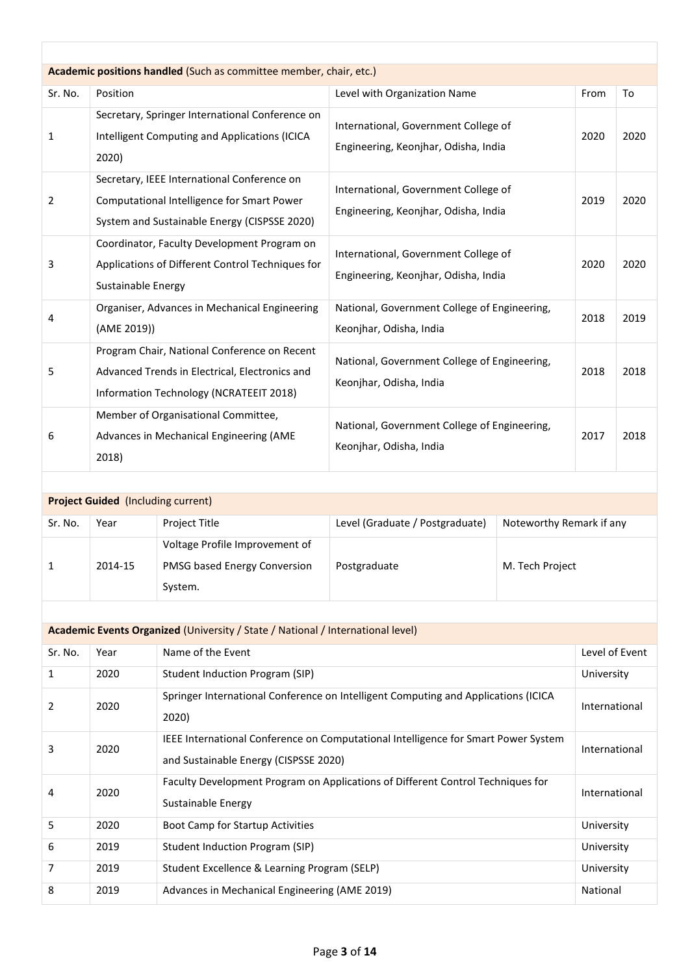|         | Academic positions handled (Such as committee member, chair, etc.)                                                                        |                                                                              |      |      |  |  |  |  |  |
|---------|-------------------------------------------------------------------------------------------------------------------------------------------|------------------------------------------------------------------------------|------|------|--|--|--|--|--|
| Sr. No. | Position                                                                                                                                  | Level with Organization Name                                                 | From | To   |  |  |  |  |  |
| 1       | Secretary, Springer International Conference on<br>Intelligent Computing and Applications (ICICA<br>2020)                                 | International, Government College of<br>Engineering, Keonjhar, Odisha, India | 2020 | 2020 |  |  |  |  |  |
| 2       | Secretary, IEEE International Conference on<br>Computational Intelligence for Smart Power<br>System and Sustainable Energy (CISPSSE 2020) | International, Government College of<br>Engineering, Keonjhar, Odisha, India | 2019 | 2020 |  |  |  |  |  |
| 3       | Coordinator, Faculty Development Program on<br>Applications of Different Control Techniques for<br>Sustainable Energy                     | International, Government College of<br>Engineering, Keonjhar, Odisha, India | 2020 | 2020 |  |  |  |  |  |
| 4       | Organiser, Advances in Mechanical Engineering<br>(AME 2019))                                                                              | National, Government College of Engineering,<br>Keonjhar, Odisha, India      | 2018 | 2019 |  |  |  |  |  |
| 5       | Program Chair, National Conference on Recent<br>Advanced Trends in Electrical, Electronics and<br>Information Technology (NCRATEEIT 2018) | National, Government College of Engineering,<br>Keonjhar, Odisha, India      | 2018 | 2018 |  |  |  |  |  |
| 6       | Member of Organisational Committee,<br>Advances in Mechanical Engineering (AME<br>2018)                                                   | National, Government College of Engineering,<br>Keonjhar, Odisha, India      | 2017 | 2018 |  |  |  |  |  |

|         | <b>Project Guided</b> (Including current) |                                                                           |                                 |                          |  |  |  |  |  |
|---------|-------------------------------------------|---------------------------------------------------------------------------|---------------------------------|--------------------------|--|--|--|--|--|
| Sr. No. | Year                                      | Project Title                                                             | Level (Graduate / Postgraduate) | Noteworthy Remark if any |  |  |  |  |  |
|         | 2014-15                                   | Voltage Profile Improvement of<br>PMSG based Energy Conversion<br>System. | Postgraduate                    | M. Tech Project          |  |  |  |  |  |

| <b>Academic Events Organized (University / State / National / International level)</b> |      |                                                                                                                             |                |  |  |  |  |
|----------------------------------------------------------------------------------------|------|-----------------------------------------------------------------------------------------------------------------------------|----------------|--|--|--|--|
| Sr. No.                                                                                | Year | Name of the Event                                                                                                           | Level of Event |  |  |  |  |
| 1                                                                                      | 2020 | Student Induction Program (SIP)                                                                                             | University     |  |  |  |  |
| 2                                                                                      | 2020 | Springer International Conference on Intelligent Computing and Applications (ICICA<br>2020)                                 | International  |  |  |  |  |
| 3                                                                                      | 2020 | IEEE International Conference on Computational Intelligence for Smart Power System<br>and Sustainable Energy (CISPSSE 2020) | International  |  |  |  |  |
| 4                                                                                      | 2020 | Faculty Development Program on Applications of Different Control Techniques for<br>Sustainable Energy                       | International  |  |  |  |  |
| 5                                                                                      | 2020 | <b>Boot Camp for Startup Activities</b>                                                                                     | University     |  |  |  |  |
| 6                                                                                      | 2019 | Student Induction Program (SIP)                                                                                             | University     |  |  |  |  |
| 7                                                                                      | 2019 | Student Excellence & Learning Program (SELP)                                                                                | University     |  |  |  |  |
| 8                                                                                      | 2019 | Advances in Mechanical Engineering (AME 2019)                                                                               | National       |  |  |  |  |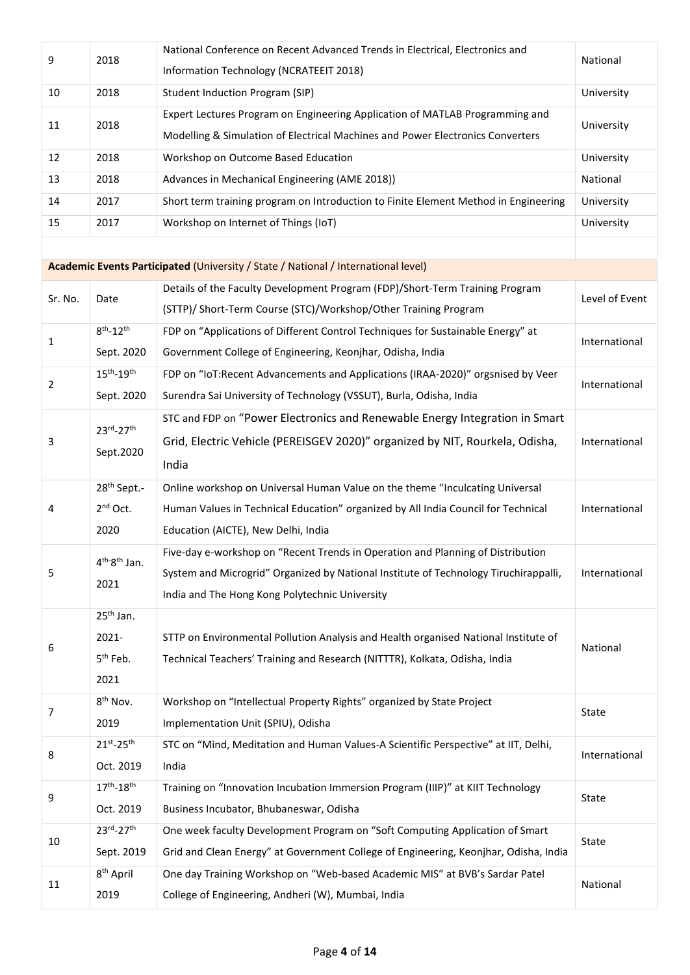| 9       | 2018                                  | National Conference on Recent Advanced Trends in Electrical, Electronics and         | National       |
|---------|---------------------------------------|--------------------------------------------------------------------------------------|----------------|
|         |                                       | Information Technology (NCRATEEIT 2018)                                              |                |
| 10      | 2018                                  | Student Induction Program (SIP)                                                      | University     |
| 11      | 2018                                  | Expert Lectures Program on Engineering Application of MATLAB Programming and         |                |
|         |                                       | Modelling & Simulation of Electrical Machines and Power Electronics Converters       | University     |
| 12      | 2018                                  | Workshop on Outcome Based Education                                                  | University     |
| 13      | 2018                                  | Advances in Mechanical Engineering (AME 2018))                                       | National       |
| 14      | 2017                                  | Short term training program on Introduction to Finite Element Method in Engineering  | University     |
| 15      | 2017                                  | Workshop on Internet of Things (IoT)                                                 | University     |
|         |                                       |                                                                                      |                |
|         |                                       | Academic Events Participated (University / State / National / International level)   |                |
| Sr. No. | Date                                  | Details of the Faculty Development Program (FDP)/Short-Term Training Program         | Level of Event |
|         |                                       | (STTP)/ Short-Term Course (STC)/Workshop/Other Training Program                      |                |
| 1       | $8^{th}$ -12 <sup>th</sup>            | FDP on "Applications of Different Control Techniques for Sustainable Energy" at      | International  |
|         | Sept. 2020                            | Government College of Engineering, Keonjhar, Odisha, India                           |                |
| 2       | $15^{\text{th}} - 19^{\text{th}}$     | FDP on "IoT:Recent Advancements and Applications (IRAA-2020)" orgsnised by Veer      | International  |
|         | Sept. 2020                            | Surendra Sai University of Technology (VSSUT), Burla, Odisha, India                  |                |
|         | 23rd-27th                             | STC and FDP on "Power Electronics and Renewable Energy Integration in Smart          |                |
| 3       | Sept.2020                             | Grid, Electric Vehicle (PEREISGEV 2020)" organized by NIT, Rourkela, Odisha,         | International  |
|         |                                       | India                                                                                |                |
|         | 28 <sup>th</sup> Sept.-               | Online workshop on Universal Human Value on the theme "Inculcating Universal         |                |
| 4       | $2nd$ Oct.                            | Human Values in Technical Education" organized by All India Council for Technical    | International  |
|         | 2020                                  | Education (AICTE), New Delhi, India                                                  |                |
|         | $4^{\text{th}}$ -8 <sup>th</sup> Jan. | Five-day e-workshop on "Recent Trends in Operation and Planning of Distribution      |                |
| 5       | 2021                                  | System and Microgrid" Organized by National Institute of Technology Tiruchirappalli, | International  |
|         |                                       | India and The Hong Kong Polytechnic University                                       |                |
|         | $25th$ Jan.                           |                                                                                      |                |
| 6       | 2021-                                 | STTP on Environmental Pollution Analysis and Health organised National Institute of  | National       |
|         | 5 <sup>th</sup> Feb.                  | Technical Teachers' Training and Research (NITTTR), Kolkata, Odisha, India           |                |
|         | 2021                                  |                                                                                      |                |
| 7       | 8 <sup>th</sup> Nov.                  | Workshop on "Intellectual Property Rights" organized by State Project                | State          |
|         | 2019                                  | Implementation Unit (SPIU), Odisha                                                   |                |
| 8       | $21^{st} - 25^{th}$                   | STC on "Mind, Meditation and Human Values-A Scientific Perspective" at IIT, Delhi,   | International  |
|         | Oct. 2019                             | India                                                                                |                |
| 9       | $17^{th} - 18^{th}$                   | Training on "Innovation Incubation Immersion Program (IIIP)" at KIIT Technology      | State          |
|         | Oct. 2019                             | Business Incubator, Bhubaneswar, Odisha                                              |                |
| 10      | 23rd-27th                             | One week faculty Development Program on "Soft Computing Application of Smart         | State          |
|         | Sept. 2019                            | Grid and Clean Energy" at Government College of Engineering, Keonjhar, Odisha, India |                |
| 11      | 8 <sup>th</sup> April                 | One day Training Workshop on "Web-based Academic MIS" at BVB's Sardar Patel          | National       |
|         | 2019                                  | College of Engineering, Andheri (W), Mumbai, India                                   |                |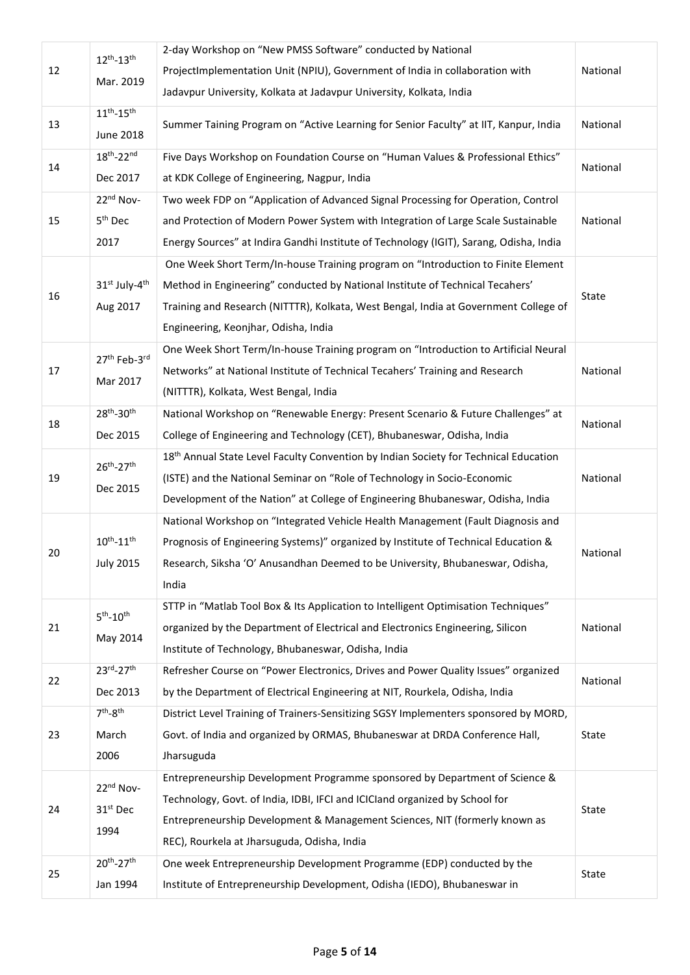|    | $12^{th} - 13^{th}$ | 2-day Workshop on "New PMSS Software" conducted by National                                      |          |
|----|---------------------|--------------------------------------------------------------------------------------------------|----------|
| 12 |                     | ProjectImplementation Unit (NPIU), Government of India in collaboration with                     | National |
|    | Mar. 2019           | Jadavpur University, Kolkata at Jadavpur University, Kolkata, India                              |          |
|    | $11^{th} - 15^{th}$ |                                                                                                  |          |
| 13 | <b>June 2018</b>    | Summer Taining Program on "Active Learning for Senior Faculty" at IIT, Kanpur, India             | National |
|    | $18^{th} - 22^{nd}$ | Five Days Workshop on Foundation Course on "Human Values & Professional Ethics"                  |          |
| 14 | Dec 2017            | at KDK College of Engineering, Nagpur, India                                                     | National |
|    | 22nd Nov-           | Two week FDP on "Application of Advanced Signal Processing for Operation, Control                |          |
| 15 | 5 <sup>th</sup> Dec | and Protection of Modern Power System with Integration of Large Scale Sustainable                | National |
|    | 2017                | Energy Sources" at Indira Gandhi Institute of Technology (IGIT), Sarang, Odisha, India           |          |
|    |                     | One Week Short Term/In-house Training program on "Introduction to Finite Element                 |          |
|    | 31st July-4th       | Method in Engineering" conducted by National Institute of Technical Tecahers'                    |          |
| 16 | Aug 2017            | Training and Research (NITTTR), Kolkata, West Bengal, India at Government College of             | State    |
|    |                     | Engineering, Keonjhar, Odisha, India                                                             |          |
|    |                     | One Week Short Term/In-house Training program on "Introduction to Artificial Neural              |          |
| 17 | 27th Feb-3rd        | Networks" at National Institute of Technical Tecahers' Training and Research                     | National |
|    | Mar 2017            | (NITTTR), Kolkata, West Bengal, India                                                            |          |
|    | $28^{th} - 30^{th}$ | National Workshop on "Renewable Energy: Present Scenario & Future Challenges" at                 |          |
| 18 | Dec 2015            | College of Engineering and Technology (CET), Bhubaneswar, Odisha, India                          | National |
|    |                     | 18 <sup>th</sup> Annual State Level Faculty Convention by Indian Society for Technical Education |          |
| 19 | $26^{th} - 27^{th}$ | (ISTE) and the National Seminar on "Role of Technology in Socio-Economic                         | National |
|    | Dec 2015            | Development of the Nation" at College of Engineering Bhubaneswar, Odisha, India                  |          |
|    |                     | National Workshop on "Integrated Vehicle Health Management (Fault Diagnosis and                  |          |
|    | $10^{th} - 11^{th}$ | Prognosis of Engineering Systems)" organized by Institute of Technical Education &               |          |
| 20 | <b>July 2015</b>    | Research, Siksha 'O' Anusandhan Deemed to be University, Bhubaneswar, Odisha,                    | National |
|    |                     | India                                                                                            |          |
|    | $5th - 10th$        | STTP in "Matlab Tool Box & Its Application to Intelligent Optimisation Techniques"               |          |
| 21 |                     | organized by the Department of Electrical and Electronics Engineering, Silicon                   | National |
|    | May 2014            | Institute of Technology, Bhubaneswar, Odisha, India                                              |          |
|    | 23rd-27th           | Refresher Course on "Power Electronics, Drives and Power Quality Issues" organized               | National |
| 22 | Dec 2013            | by the Department of Electrical Engineering at NIT, Rourkela, Odisha, India                      |          |
|    | $7th-8th$           | District Level Training of Trainers-Sensitizing SGSY Implementers sponsored by MORD,             |          |
| 23 | March               | Govt. of India and organized by ORMAS, Bhubaneswar at DRDA Conference Hall,                      | State    |
|    | 2006                | Jharsuguda                                                                                       |          |
|    | 22nd Nov-           | Entrepreneurship Development Programme sponsored by Department of Science &                      |          |
| 24 | 31st Dec            | Technology, Govt. of India, IDBI, IFCI and ICICIand organized by School for                      | State    |
|    | 1994                | Entrepreneurship Development & Management Sciences, NIT (formerly known as                       |          |
|    |                     | REC), Rourkela at Jharsuguda, Odisha, India                                                      |          |
|    | $20^{th} - 27^{th}$ | One week Entrepreneurship Development Programme (EDP) conducted by the                           |          |
| 25 | Jan 1994            | Institute of Entrepreneurship Development, Odisha (IEDO), Bhubaneswar in                         | State    |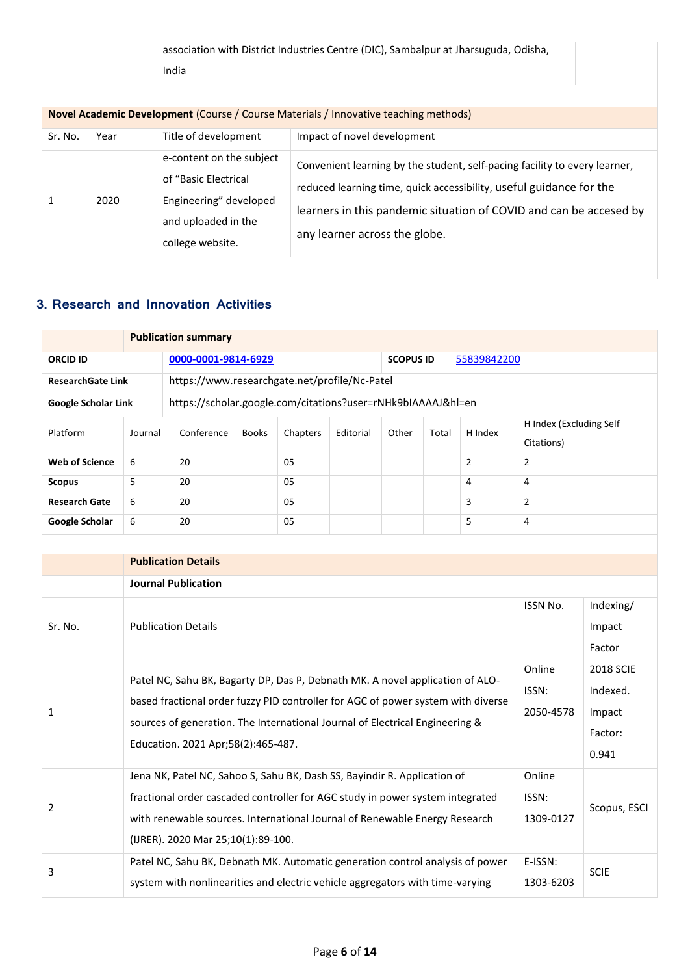|         |      | India                                                                                                                 | association with District Industries Centre (DIC), Sambalpur at Jharsuguda, Odisha,                                                                                                                                                                      |
|---------|------|-----------------------------------------------------------------------------------------------------------------------|----------------------------------------------------------------------------------------------------------------------------------------------------------------------------------------------------------------------------------------------------------|
| Sr. No. | Year | Title of development                                                                                                  | <b>Novel Academic Development (Course / Course Materials / Innovative teaching methods)</b><br>Impact of novel development                                                                                                                               |
|         | 2020 | e-content on the subject<br>of "Basic Electrical<br>Engineering" developed<br>and uploaded in the<br>college website. | Convenient learning by the student, self-pacing facility to every learner,<br>reduced learning time, quick accessibility, useful guidance for the<br>learners in this pandemic situation of COVID and can be accesed by<br>any learner across the globe. |

## **3. Research and Innovation Activities**

|                            |                                                                                                                                                                                                                                                                                         | <b>Publication summary</b>                                                                                                                                     |              |          |           |                  |       |                              |                                                            |              |  |
|----------------------------|-----------------------------------------------------------------------------------------------------------------------------------------------------------------------------------------------------------------------------------------------------------------------------------------|----------------------------------------------------------------------------------------------------------------------------------------------------------------|--------------|----------|-----------|------------------|-------|------------------------------|------------------------------------------------------------|--------------|--|
| <b>ORCID ID</b>            |                                                                                                                                                                                                                                                                                         | 0000-0001-9814-6929                                                                                                                                            |              |          |           | <b>SCOPUS ID</b> |       | 55839842200                  |                                                            |              |  |
| <b>ResearchGate Link</b>   |                                                                                                                                                                                                                                                                                         | https://www.researchgate.net/profile/Nc-Patel                                                                                                                  |              |          |           |                  |       |                              |                                                            |              |  |
| <b>Google Scholar Link</b> |                                                                                                                                                                                                                                                                                         | https://scholar.google.com/citations?user=rNHk9bIAAAAJ&hl=en                                                                                                   |              |          |           |                  |       |                              |                                                            |              |  |
| Platform                   | Journal                                                                                                                                                                                                                                                                                 | Conference                                                                                                                                                     | <b>Books</b> | Chapters | Editorial | Other            | Total | H Index                      | H Index (Excluding Self<br>Citations)                      |              |  |
| <b>Web of Science</b>      | 6                                                                                                                                                                                                                                                                                       | 20                                                                                                                                                             |              | 05       |           |                  |       | $\overline{2}$               | $\overline{2}$                                             |              |  |
| <b>Scopus</b>              | 5                                                                                                                                                                                                                                                                                       | 20                                                                                                                                                             |              | 05       |           |                  |       | 4                            | 4                                                          |              |  |
| <b>Research Gate</b>       | 6                                                                                                                                                                                                                                                                                       | 20                                                                                                                                                             |              | 05       |           |                  |       | 3                            | $\overline{2}$                                             |              |  |
| <b>Google Scholar</b>      | 6                                                                                                                                                                                                                                                                                       | 20                                                                                                                                                             |              | 05       |           |                  |       | 5                            | 4                                                          |              |  |
|                            |                                                                                                                                                                                                                                                                                         |                                                                                                                                                                |              |          |           |                  |       |                              |                                                            |              |  |
|                            | <b>Publication Details</b>                                                                                                                                                                                                                                                              |                                                                                                                                                                |              |          |           |                  |       |                              |                                                            |              |  |
|                            |                                                                                                                                                                                                                                                                                         | <b>Journal Publication</b>                                                                                                                                     |              |          |           |                  |       |                              |                                                            |              |  |
| Sr. No.                    |                                                                                                                                                                                                                                                                                         | <b>Publication Details</b>                                                                                                                                     |              |          |           |                  |       | ISSN No.                     | Indexing/<br>Impact<br>Factor                              |              |  |
| $\mathbf{1}$               | Patel NC, Sahu BK, Bagarty DP, Das P, Debnath MK. A novel application of ALO-<br>based fractional order fuzzy PID controller for AGC of power system with diverse<br>sources of generation. The International Journal of Electrical Engineering &<br>Education. 2021 Apr;58(2):465-487. |                                                                                                                                                                |              |          |           |                  |       | Online<br>ISSN:<br>2050-4578 | <b>2018 SCIE</b><br>Indexed.<br>Impact<br>Factor:<br>0.941 |              |  |
| 2                          | Jena NK, Patel NC, Sahoo S, Sahu BK, Dash SS, Bayindir R. Application of<br>fractional order cascaded controller for AGC study in power system integrated<br>with renewable sources. International Journal of Renewable Energy Research<br>(IJRER). 2020 Mar 25;10(1):89-100.           |                                                                                                                                                                |              |          |           |                  |       |                              | Online<br>ISSN:<br>1309-0127                               | Scopus, ESCI |  |
| 3                          |                                                                                                                                                                                                                                                                                         | Patel NC, Sahu BK, Debnath MK. Automatic generation control analysis of power<br>system with nonlinearities and electric vehicle aggregators with time-varying |              |          |           |                  |       |                              | E-ISSN:<br>1303-6203                                       | <b>SCIE</b>  |  |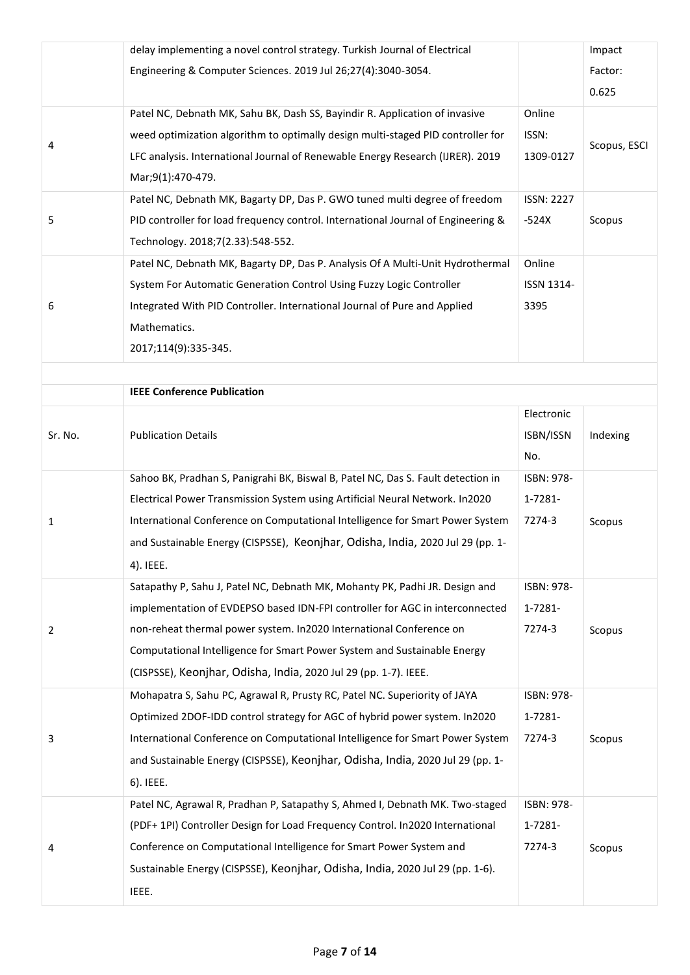| Engineering & Computer Sciences. 2019 Jul 26;27(4):3040-3054.<br>Factor:<br>0.625<br>Patel NC, Debnath MK, Sahu BK, Dash SS, Bayindir R. Application of invasive<br>Online<br>weed optimization algorithm to optimally design multi-staged PID controller for<br>ISSN:<br>Scopus, ESCI<br>4<br>LFC analysis. International Journal of Renewable Energy Research (IJRER). 2019<br>1309-0127<br>Mar;9(1):470-479.<br>Patel NC, Debnath MK, Bagarty DP, Das P. GWO tuned multi degree of freedom<br><b>ISSN: 2227</b><br>5<br>PID controller for load frequency control. International Journal of Engineering &<br>$-524X$<br>Scopus<br>Technology. 2018;7(2.33):548-552.<br>Patel NC, Debnath MK, Bagarty DP, Das P. Analysis Of A Multi-Unit Hydrothermal<br>Online<br>System For Automatic Generation Control Using Fuzzy Logic Controller<br>ISSN 1314-<br>6<br>Integrated With PID Controller. International Journal of Pure and Applied<br>3395<br>Mathematics.<br>2017;114(9):335-345.<br><b>IEEE Conference Publication</b><br>Electronic<br><b>Publication Details</b><br>Sr. No.<br>ISBN/ISSN<br>Indexing<br>No.<br>Sahoo BK, Pradhan S, Panigrahi BK, Biswal B, Patel NC, Das S. Fault detection in<br>ISBN: 978-<br>Electrical Power Transmission System using Artificial Neural Network. In2020<br>1-7281-<br>International Conference on Computational Intelligence for Smart Power System<br>7274-3<br>Scopus<br>1<br>and Sustainable Energy (CISPSSE), Keonjhar, Odisha, India, 2020 Jul 29 (pp. 1-<br>4). IEEE.<br>Satapathy P, Sahu J, Patel NC, Debnath MK, Mohanty PK, Padhi JR. Design and<br>ISBN: 978-<br>implementation of EVDEPSO based IDN-FPI controller for AGC in interconnected<br>1-7281-<br>non-reheat thermal power system. In2020 International Conference on<br>7274-3<br>Scopus<br>2<br>Computational Intelligence for Smart Power System and Sustainable Energy<br>(CISPSSE), Keonjhar, Odisha, India, 2020 Jul 29 (pp. 1-7). IEEE.<br>Mohapatra S, Sahu PC, Agrawal R, Prusty RC, Patel NC. Superiority of JAYA<br>ISBN: 978-<br>Optimized 2DOF-IDD control strategy for AGC of hybrid power system. In2020<br>1-7281-<br>International Conference on Computational Intelligence for Smart Power System<br>7274-3<br>3<br>Scopus | delay implementing a novel control strategy. Turkish Journal of Electrical     | Impact |
|---------------------------------------------------------------------------------------------------------------------------------------------------------------------------------------------------------------------------------------------------------------------------------------------------------------------------------------------------------------------------------------------------------------------------------------------------------------------------------------------------------------------------------------------------------------------------------------------------------------------------------------------------------------------------------------------------------------------------------------------------------------------------------------------------------------------------------------------------------------------------------------------------------------------------------------------------------------------------------------------------------------------------------------------------------------------------------------------------------------------------------------------------------------------------------------------------------------------------------------------------------------------------------------------------------------------------------------------------------------------------------------------------------------------------------------------------------------------------------------------------------------------------------------------------------------------------------------------------------------------------------------------------------------------------------------------------------------------------------------------------------------------------------------------------------------------------------------------------------------------------------------------------------------------------------------------------------------------------------------------------------------------------------------------------------------------------------------------------------------------------------------------------------------------------------------------------------------------------------------------------------------------|--------------------------------------------------------------------------------|--------|
|                                                                                                                                                                                                                                                                                                                                                                                                                                                                                                                                                                                                                                                                                                                                                                                                                                                                                                                                                                                                                                                                                                                                                                                                                                                                                                                                                                                                                                                                                                                                                                                                                                                                                                                                                                                                                                                                                                                                                                                                                                                                                                                                                                                                                                                                     |                                                                                |        |
|                                                                                                                                                                                                                                                                                                                                                                                                                                                                                                                                                                                                                                                                                                                                                                                                                                                                                                                                                                                                                                                                                                                                                                                                                                                                                                                                                                                                                                                                                                                                                                                                                                                                                                                                                                                                                                                                                                                                                                                                                                                                                                                                                                                                                                                                     |                                                                                |        |
|                                                                                                                                                                                                                                                                                                                                                                                                                                                                                                                                                                                                                                                                                                                                                                                                                                                                                                                                                                                                                                                                                                                                                                                                                                                                                                                                                                                                                                                                                                                                                                                                                                                                                                                                                                                                                                                                                                                                                                                                                                                                                                                                                                                                                                                                     |                                                                                |        |
|                                                                                                                                                                                                                                                                                                                                                                                                                                                                                                                                                                                                                                                                                                                                                                                                                                                                                                                                                                                                                                                                                                                                                                                                                                                                                                                                                                                                                                                                                                                                                                                                                                                                                                                                                                                                                                                                                                                                                                                                                                                                                                                                                                                                                                                                     |                                                                                |        |
|                                                                                                                                                                                                                                                                                                                                                                                                                                                                                                                                                                                                                                                                                                                                                                                                                                                                                                                                                                                                                                                                                                                                                                                                                                                                                                                                                                                                                                                                                                                                                                                                                                                                                                                                                                                                                                                                                                                                                                                                                                                                                                                                                                                                                                                                     |                                                                                |        |
|                                                                                                                                                                                                                                                                                                                                                                                                                                                                                                                                                                                                                                                                                                                                                                                                                                                                                                                                                                                                                                                                                                                                                                                                                                                                                                                                                                                                                                                                                                                                                                                                                                                                                                                                                                                                                                                                                                                                                                                                                                                                                                                                                                                                                                                                     |                                                                                |        |
|                                                                                                                                                                                                                                                                                                                                                                                                                                                                                                                                                                                                                                                                                                                                                                                                                                                                                                                                                                                                                                                                                                                                                                                                                                                                                                                                                                                                                                                                                                                                                                                                                                                                                                                                                                                                                                                                                                                                                                                                                                                                                                                                                                                                                                                                     |                                                                                |        |
|                                                                                                                                                                                                                                                                                                                                                                                                                                                                                                                                                                                                                                                                                                                                                                                                                                                                                                                                                                                                                                                                                                                                                                                                                                                                                                                                                                                                                                                                                                                                                                                                                                                                                                                                                                                                                                                                                                                                                                                                                                                                                                                                                                                                                                                                     |                                                                                |        |
|                                                                                                                                                                                                                                                                                                                                                                                                                                                                                                                                                                                                                                                                                                                                                                                                                                                                                                                                                                                                                                                                                                                                                                                                                                                                                                                                                                                                                                                                                                                                                                                                                                                                                                                                                                                                                                                                                                                                                                                                                                                                                                                                                                                                                                                                     |                                                                                |        |
|                                                                                                                                                                                                                                                                                                                                                                                                                                                                                                                                                                                                                                                                                                                                                                                                                                                                                                                                                                                                                                                                                                                                                                                                                                                                                                                                                                                                                                                                                                                                                                                                                                                                                                                                                                                                                                                                                                                                                                                                                                                                                                                                                                                                                                                                     |                                                                                |        |
|                                                                                                                                                                                                                                                                                                                                                                                                                                                                                                                                                                                                                                                                                                                                                                                                                                                                                                                                                                                                                                                                                                                                                                                                                                                                                                                                                                                                                                                                                                                                                                                                                                                                                                                                                                                                                                                                                                                                                                                                                                                                                                                                                                                                                                                                     |                                                                                |        |
|                                                                                                                                                                                                                                                                                                                                                                                                                                                                                                                                                                                                                                                                                                                                                                                                                                                                                                                                                                                                                                                                                                                                                                                                                                                                                                                                                                                                                                                                                                                                                                                                                                                                                                                                                                                                                                                                                                                                                                                                                                                                                                                                                                                                                                                                     |                                                                                |        |
|                                                                                                                                                                                                                                                                                                                                                                                                                                                                                                                                                                                                                                                                                                                                                                                                                                                                                                                                                                                                                                                                                                                                                                                                                                                                                                                                                                                                                                                                                                                                                                                                                                                                                                                                                                                                                                                                                                                                                                                                                                                                                                                                                                                                                                                                     |                                                                                |        |
|                                                                                                                                                                                                                                                                                                                                                                                                                                                                                                                                                                                                                                                                                                                                                                                                                                                                                                                                                                                                                                                                                                                                                                                                                                                                                                                                                                                                                                                                                                                                                                                                                                                                                                                                                                                                                                                                                                                                                                                                                                                                                                                                                                                                                                                                     |                                                                                |        |
|                                                                                                                                                                                                                                                                                                                                                                                                                                                                                                                                                                                                                                                                                                                                                                                                                                                                                                                                                                                                                                                                                                                                                                                                                                                                                                                                                                                                                                                                                                                                                                                                                                                                                                                                                                                                                                                                                                                                                                                                                                                                                                                                                                                                                                                                     |                                                                                |        |
|                                                                                                                                                                                                                                                                                                                                                                                                                                                                                                                                                                                                                                                                                                                                                                                                                                                                                                                                                                                                                                                                                                                                                                                                                                                                                                                                                                                                                                                                                                                                                                                                                                                                                                                                                                                                                                                                                                                                                                                                                                                                                                                                                                                                                                                                     |                                                                                |        |
|                                                                                                                                                                                                                                                                                                                                                                                                                                                                                                                                                                                                                                                                                                                                                                                                                                                                                                                                                                                                                                                                                                                                                                                                                                                                                                                                                                                                                                                                                                                                                                                                                                                                                                                                                                                                                                                                                                                                                                                                                                                                                                                                                                                                                                                                     |                                                                                |        |
|                                                                                                                                                                                                                                                                                                                                                                                                                                                                                                                                                                                                                                                                                                                                                                                                                                                                                                                                                                                                                                                                                                                                                                                                                                                                                                                                                                                                                                                                                                                                                                                                                                                                                                                                                                                                                                                                                                                                                                                                                                                                                                                                                                                                                                                                     |                                                                                |        |
|                                                                                                                                                                                                                                                                                                                                                                                                                                                                                                                                                                                                                                                                                                                                                                                                                                                                                                                                                                                                                                                                                                                                                                                                                                                                                                                                                                                                                                                                                                                                                                                                                                                                                                                                                                                                                                                                                                                                                                                                                                                                                                                                                                                                                                                                     |                                                                                |        |
|                                                                                                                                                                                                                                                                                                                                                                                                                                                                                                                                                                                                                                                                                                                                                                                                                                                                                                                                                                                                                                                                                                                                                                                                                                                                                                                                                                                                                                                                                                                                                                                                                                                                                                                                                                                                                                                                                                                                                                                                                                                                                                                                                                                                                                                                     |                                                                                |        |
|                                                                                                                                                                                                                                                                                                                                                                                                                                                                                                                                                                                                                                                                                                                                                                                                                                                                                                                                                                                                                                                                                                                                                                                                                                                                                                                                                                                                                                                                                                                                                                                                                                                                                                                                                                                                                                                                                                                                                                                                                                                                                                                                                                                                                                                                     |                                                                                |        |
|                                                                                                                                                                                                                                                                                                                                                                                                                                                                                                                                                                                                                                                                                                                                                                                                                                                                                                                                                                                                                                                                                                                                                                                                                                                                                                                                                                                                                                                                                                                                                                                                                                                                                                                                                                                                                                                                                                                                                                                                                                                                                                                                                                                                                                                                     |                                                                                |        |
|                                                                                                                                                                                                                                                                                                                                                                                                                                                                                                                                                                                                                                                                                                                                                                                                                                                                                                                                                                                                                                                                                                                                                                                                                                                                                                                                                                                                                                                                                                                                                                                                                                                                                                                                                                                                                                                                                                                                                                                                                                                                                                                                                                                                                                                                     |                                                                                |        |
|                                                                                                                                                                                                                                                                                                                                                                                                                                                                                                                                                                                                                                                                                                                                                                                                                                                                                                                                                                                                                                                                                                                                                                                                                                                                                                                                                                                                                                                                                                                                                                                                                                                                                                                                                                                                                                                                                                                                                                                                                                                                                                                                                                                                                                                                     |                                                                                |        |
|                                                                                                                                                                                                                                                                                                                                                                                                                                                                                                                                                                                                                                                                                                                                                                                                                                                                                                                                                                                                                                                                                                                                                                                                                                                                                                                                                                                                                                                                                                                                                                                                                                                                                                                                                                                                                                                                                                                                                                                                                                                                                                                                                                                                                                                                     |                                                                                |        |
|                                                                                                                                                                                                                                                                                                                                                                                                                                                                                                                                                                                                                                                                                                                                                                                                                                                                                                                                                                                                                                                                                                                                                                                                                                                                                                                                                                                                                                                                                                                                                                                                                                                                                                                                                                                                                                                                                                                                                                                                                                                                                                                                                                                                                                                                     |                                                                                |        |
|                                                                                                                                                                                                                                                                                                                                                                                                                                                                                                                                                                                                                                                                                                                                                                                                                                                                                                                                                                                                                                                                                                                                                                                                                                                                                                                                                                                                                                                                                                                                                                                                                                                                                                                                                                                                                                                                                                                                                                                                                                                                                                                                                                                                                                                                     |                                                                                |        |
|                                                                                                                                                                                                                                                                                                                                                                                                                                                                                                                                                                                                                                                                                                                                                                                                                                                                                                                                                                                                                                                                                                                                                                                                                                                                                                                                                                                                                                                                                                                                                                                                                                                                                                                                                                                                                                                                                                                                                                                                                                                                                                                                                                                                                                                                     |                                                                                |        |
|                                                                                                                                                                                                                                                                                                                                                                                                                                                                                                                                                                                                                                                                                                                                                                                                                                                                                                                                                                                                                                                                                                                                                                                                                                                                                                                                                                                                                                                                                                                                                                                                                                                                                                                                                                                                                                                                                                                                                                                                                                                                                                                                                                                                                                                                     |                                                                                |        |
|                                                                                                                                                                                                                                                                                                                                                                                                                                                                                                                                                                                                                                                                                                                                                                                                                                                                                                                                                                                                                                                                                                                                                                                                                                                                                                                                                                                                                                                                                                                                                                                                                                                                                                                                                                                                                                                                                                                                                                                                                                                                                                                                                                                                                                                                     |                                                                                |        |
|                                                                                                                                                                                                                                                                                                                                                                                                                                                                                                                                                                                                                                                                                                                                                                                                                                                                                                                                                                                                                                                                                                                                                                                                                                                                                                                                                                                                                                                                                                                                                                                                                                                                                                                                                                                                                                                                                                                                                                                                                                                                                                                                                                                                                                                                     |                                                                                |        |
|                                                                                                                                                                                                                                                                                                                                                                                                                                                                                                                                                                                                                                                                                                                                                                                                                                                                                                                                                                                                                                                                                                                                                                                                                                                                                                                                                                                                                                                                                                                                                                                                                                                                                                                                                                                                                                                                                                                                                                                                                                                                                                                                                                                                                                                                     |                                                                                |        |
|                                                                                                                                                                                                                                                                                                                                                                                                                                                                                                                                                                                                                                                                                                                                                                                                                                                                                                                                                                                                                                                                                                                                                                                                                                                                                                                                                                                                                                                                                                                                                                                                                                                                                                                                                                                                                                                                                                                                                                                                                                                                                                                                                                                                                                                                     | and Sustainable Energy (CISPSSE), Keonjhar, Odisha, India, 2020 Jul 29 (pp. 1- |        |
| 6). IEEE.                                                                                                                                                                                                                                                                                                                                                                                                                                                                                                                                                                                                                                                                                                                                                                                                                                                                                                                                                                                                                                                                                                                                                                                                                                                                                                                                                                                                                                                                                                                                                                                                                                                                                                                                                                                                                                                                                                                                                                                                                                                                                                                                                                                                                                                           |                                                                                |        |
| Patel NC, Agrawal R, Pradhan P, Satapathy S, Ahmed I, Debnath MK. Two-staged<br>ISBN: 978-                                                                                                                                                                                                                                                                                                                                                                                                                                                                                                                                                                                                                                                                                                                                                                                                                                                                                                                                                                                                                                                                                                                                                                                                                                                                                                                                                                                                                                                                                                                                                                                                                                                                                                                                                                                                                                                                                                                                                                                                                                                                                                                                                                          |                                                                                |        |
| (PDF+ 1PI) Controller Design for Load Frequency Control. In2020 International<br>1-7281-                                                                                                                                                                                                                                                                                                                                                                                                                                                                                                                                                                                                                                                                                                                                                                                                                                                                                                                                                                                                                                                                                                                                                                                                                                                                                                                                                                                                                                                                                                                                                                                                                                                                                                                                                                                                                                                                                                                                                                                                                                                                                                                                                                            |                                                                                |        |
| Conference on Computational Intelligence for Smart Power System and<br>7274-3<br>Scopus<br>4                                                                                                                                                                                                                                                                                                                                                                                                                                                                                                                                                                                                                                                                                                                                                                                                                                                                                                                                                                                                                                                                                                                                                                                                                                                                                                                                                                                                                                                                                                                                                                                                                                                                                                                                                                                                                                                                                                                                                                                                                                                                                                                                                                        |                                                                                |        |
| Sustainable Energy (CISPSSE), Keonjhar, Odisha, India, 2020 Jul 29 (pp. 1-6).                                                                                                                                                                                                                                                                                                                                                                                                                                                                                                                                                                                                                                                                                                                                                                                                                                                                                                                                                                                                                                                                                                                                                                                                                                                                                                                                                                                                                                                                                                                                                                                                                                                                                                                                                                                                                                                                                                                                                                                                                                                                                                                                                                                       |                                                                                |        |
| IEEE.                                                                                                                                                                                                                                                                                                                                                                                                                                                                                                                                                                                                                                                                                                                                                                                                                                                                                                                                                                                                                                                                                                                                                                                                                                                                                                                                                                                                                                                                                                                                                                                                                                                                                                                                                                                                                                                                                                                                                                                                                                                                                                                                                                                                                                                               |                                                                                |        |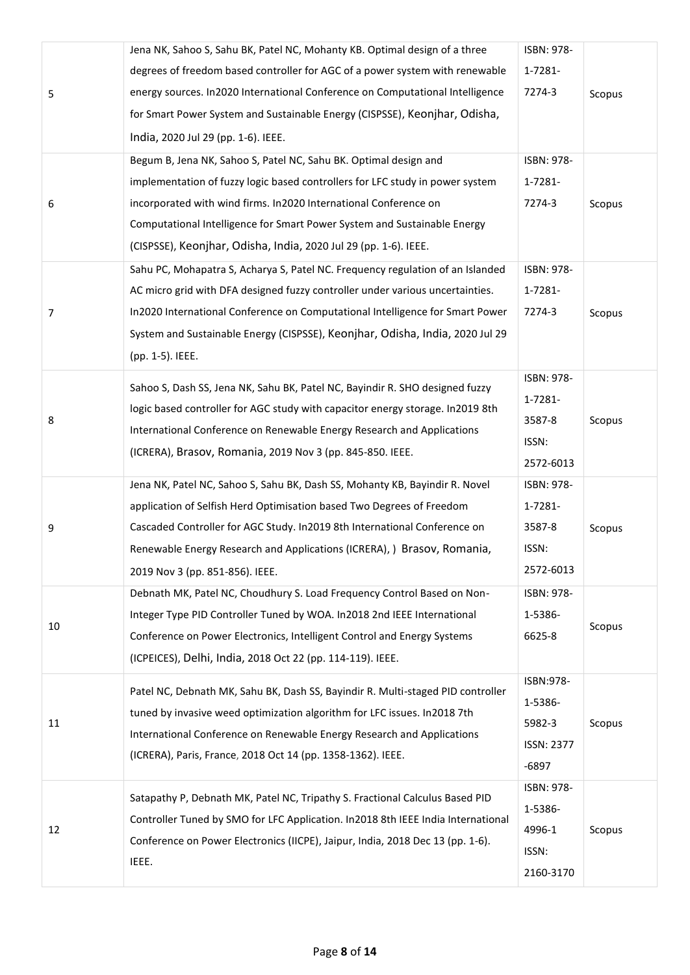|    | Jena NK, Sahoo S, Sahu BK, Patel NC, Mohanty KB. Optimal design of a three       | ISBN: 978- |        |
|----|----------------------------------------------------------------------------------|------------|--------|
|    | degrees of freedom based controller for AGC of a power system with renewable     | 1-7281-    |        |
| 5  | energy sources. In2020 International Conference on Computational Intelligence    | 7274-3     | Scopus |
|    | for Smart Power System and Sustainable Energy (CISPSSE), Keonjhar, Odisha,       |            |        |
|    | India, 2020 Jul 29 (pp. 1-6). IEEE.                                              |            |        |
|    | Begum B, Jena NK, Sahoo S, Patel NC, Sahu BK. Optimal design and                 | ISBN: 978- |        |
|    | implementation of fuzzy logic based controllers for LFC study in power system    | 1-7281-    |        |
| 6  | incorporated with wind firms. In2020 International Conference on                 | 7274-3     | Scopus |
|    | Computational Intelligence for Smart Power System and Sustainable Energy         |            |        |
|    | (CISPSSE), Keonjhar, Odisha, India, 2020 Jul 29 (pp. 1-6). IEEE.                 |            |        |
|    | Sahu PC, Mohapatra S, Acharya S, Patel NC. Frequency regulation of an Islanded   | ISBN: 978- |        |
|    | AC micro grid with DFA designed fuzzy controller under various uncertainties.    | 1-7281-    |        |
| 7  | In2020 International Conference on Computational Intelligence for Smart Power    | 7274-3     | Scopus |
|    | System and Sustainable Energy (CISPSSE), Keonjhar, Odisha, India, 2020 Jul 29    |            |        |
|    | (pp. 1-5). IEEE.                                                                 |            |        |
|    | Sahoo S, Dash SS, Jena NK, Sahu BK, Patel NC, Bayindir R. SHO designed fuzzy     | ISBN: 978- |        |
|    | logic based controller for AGC study with capacitor energy storage. In2019 8th   | 1-7281-    |        |
| 8  | International Conference on Renewable Energy Research and Applications           | 3587-8     | Scopus |
|    | (ICRERA), Brasov, Romania, 2019 Nov 3 (pp. 845-850. IEEE.                        | ISSN:      |        |
|    |                                                                                  | 2572-6013  |        |
|    | Jena NK, Patel NC, Sahoo S, Sahu BK, Dash SS, Mohanty KB, Bayindir R. Novel      | ISBN: 978- |        |
|    | application of Selfish Herd Optimisation based Two Degrees of Freedom            | 1-7281-    |        |
| 9  | Cascaded Controller for AGC Study. In2019 8th International Conference on        | 3587-8     | Scopus |
|    | Renewable Energy Research and Applications (ICRERA), ) Brasov, Romania,          | ISSN:      |        |
|    | 2019 Nov 3 (pp. 851-856). IEEE.                                                  | 2572-6013  |        |
|    | Debnath MK, Patel NC, Choudhury S. Load Frequency Control Based on Non-          | ISBN: 978- |        |
| 10 | Integer Type PID Controller Tuned by WOA. In 2018 2nd IEEE International         | 1-5386-    | Scopus |
|    | Conference on Power Electronics, Intelligent Control and Energy Systems          | 6625-8     |        |
|    | (ICPEICES), Delhi, India, 2018 Oct 22 (pp. 114-119). IEEE.                       |            |        |
|    | Patel NC, Debnath MK, Sahu BK, Dash SS, Bayindir R. Multi-staged PID controller  | ISBN:978-  |        |
|    | tuned by invasive weed optimization algorithm for LFC issues. In2018 7th         | 1-5386-    |        |
| 11 | International Conference on Renewable Energy Research and Applications           | 5982-3     | Scopus |
|    | (ICRERA), Paris, France, 2018 Oct 14 (pp. 1358-1362). IEEE.                      | ISSN: 2377 |        |
|    |                                                                                  | $-6897$    |        |
|    | Satapathy P, Debnath MK, Patel NC, Tripathy S. Fractional Calculus Based PID     | ISBN: 978- |        |
|    | Controller Tuned by SMO for LFC Application. In2018 8th IEEE India International | 1-5386-    |        |
| 12 | Conference on Power Electronics (IICPE), Jaipur, India, 2018 Dec 13 (pp. 1-6).   | 4996-1     | Scopus |
|    | IEEE.                                                                            | ISSN:      |        |
|    |                                                                                  | 2160-3170  |        |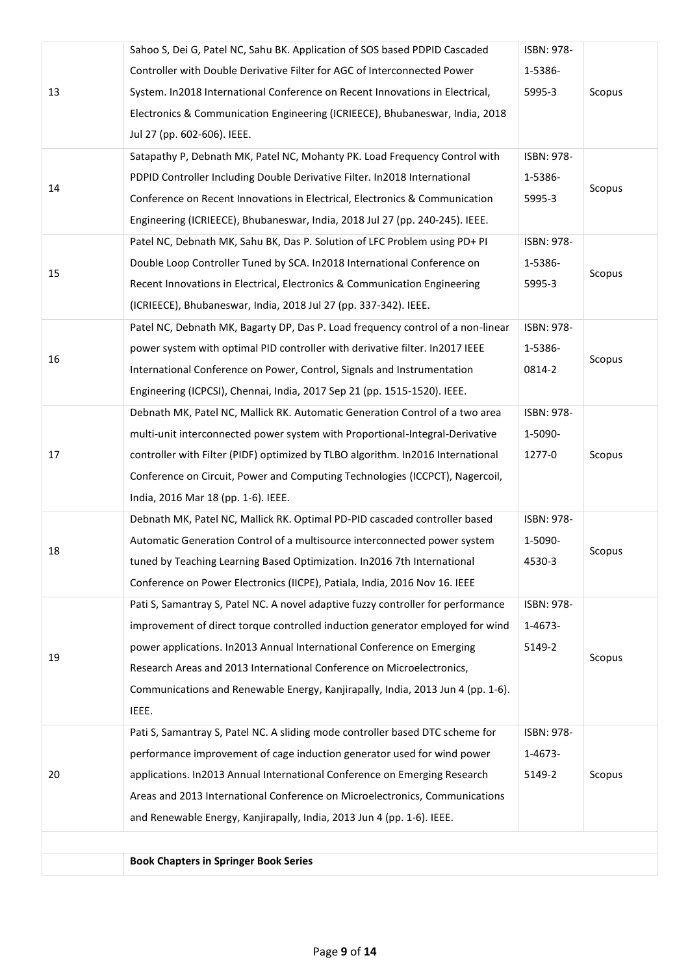|    | Sahoo S, Dei G, Patel NC, Sahu BK. Application of SOS based PDPID Cascaded       | ISBN: 978-       |        |  |  |  |
|----|----------------------------------------------------------------------------------|------------------|--------|--|--|--|
| 13 | Controller with Double Derivative Filter for AGC of Interconnected Power         | 1-5386-          |        |  |  |  |
|    | System. In2018 International Conference on Recent Innovations in Electrical,     | Scopus<br>5995-3 |        |  |  |  |
|    | Electronics & Communication Engineering (ICRIEECE), Bhubaneswar, India, 2018     |                  |        |  |  |  |
|    | Jul 27 (pp. 602-606). IEEE.                                                      |                  |        |  |  |  |
|    | Satapathy P, Debnath MK, Patel NC, Mohanty PK. Load Frequency Control with       | ISBN: 978-       |        |  |  |  |
|    | PDPID Controller Including Double Derivative Filter. In2018 International        | 1-5386-          | Scopus |  |  |  |
| 14 | Conference on Recent Innovations in Electrical, Electronics & Communication      | 5995-3           |        |  |  |  |
|    | Engineering (ICRIEECE), Bhubaneswar, India, 2018 Jul 27 (pp. 240-245). IEEE.     |                  |        |  |  |  |
|    | Patel NC, Debnath MK, Sahu BK, Das P. Solution of LFC Problem using PD+ PI       | ISBN: 978-       |        |  |  |  |
| 15 | Double Loop Controller Tuned by SCA. In2018 International Conference on          | 1-5386-          | Scopus |  |  |  |
|    | Recent Innovations in Electrical, Electronics & Communication Engineering        | 5995-3           |        |  |  |  |
|    | (ICRIEECE), Bhubaneswar, India, 2018 Jul 27 (pp. 337-342). IEEE.                 |                  |        |  |  |  |
|    | Patel NC, Debnath MK, Bagarty DP, Das P. Load frequency control of a non-linear  | ISBN: 978-       |        |  |  |  |
| 16 | power system with optimal PID controller with derivative filter. In2017 IEEE     | 1-5386-          |        |  |  |  |
|    | International Conference on Power, Control, Signals and Instrumentation          | 0814-2           | Scopus |  |  |  |
|    | Engineering (ICPCSI), Chennai, India, 2017 Sep 21 (pp. 1515-1520). IEEE.         |                  |        |  |  |  |
|    | Debnath MK, Patel NC, Mallick RK. Automatic Generation Control of a two area     | ISBN: 978-       |        |  |  |  |
|    | multi-unit interconnected power system with Proportional-Integral-Derivative     | 1-5090-          |        |  |  |  |
| 17 | controller with Filter (PIDF) optimized by TLBO algorithm. In2016 International  | 1277-0           | Scopus |  |  |  |
|    | Conference on Circuit, Power and Computing Technologies (ICCPCT), Nagercoil,     |                  |        |  |  |  |
|    | India, 2016 Mar 18 (pp. 1-6). IEEE.                                              |                  |        |  |  |  |
|    | Debnath MK, Patel NC, Mallick RK. Optimal PD-PID cascaded controller based       | ISBN: 978-       |        |  |  |  |
| 18 | Automatic Generation Control of a multisource interconnected power system        | 1-5090-          | Scopus |  |  |  |
|    | tuned by Teaching Learning Based Optimization. In2016 7th International          | 4530-3           |        |  |  |  |
|    | Conference on Power Electronics (IICPE), Patiala, India, 2016 Nov 16. IEEE       |                  |        |  |  |  |
|    | Pati S, Samantray S, Patel NC. A novel adaptive fuzzy controller for performance | ISBN: 978-       |        |  |  |  |
|    | improvement of direct torque controlled induction generator employed for wind    | 1-4673-          |        |  |  |  |
| 19 | power applications. In2013 Annual International Conference on Emerging           | 5149-2           | Scopus |  |  |  |
|    | Research Areas and 2013 International Conference on Microelectronics,            |                  |        |  |  |  |
|    | Communications and Renewable Energy, Kanjirapally, India, 2013 Jun 4 (pp. 1-6).  |                  |        |  |  |  |
|    | IEEE.                                                                            |                  |        |  |  |  |
|    | Pati S, Samantray S, Patel NC. A sliding mode controller based DTC scheme for    | ISBN: 978-       |        |  |  |  |
|    | performance improvement of cage induction generator used for wind power          | 1-4673-          |        |  |  |  |
| 20 | applications. In2013 Annual International Conference on Emerging Research        | 5149-2           | Scopus |  |  |  |
|    | Areas and 2013 International Conference on Microelectronics, Communications      |                  |        |  |  |  |
|    | and Renewable Energy, Kanjirapally, India, 2013 Jun 4 (pp. 1-6). IEEE.           |                  |        |  |  |  |
|    |                                                                                  |                  |        |  |  |  |
|    | <b>Book Chapters in Springer Book Series</b>                                     |                  |        |  |  |  |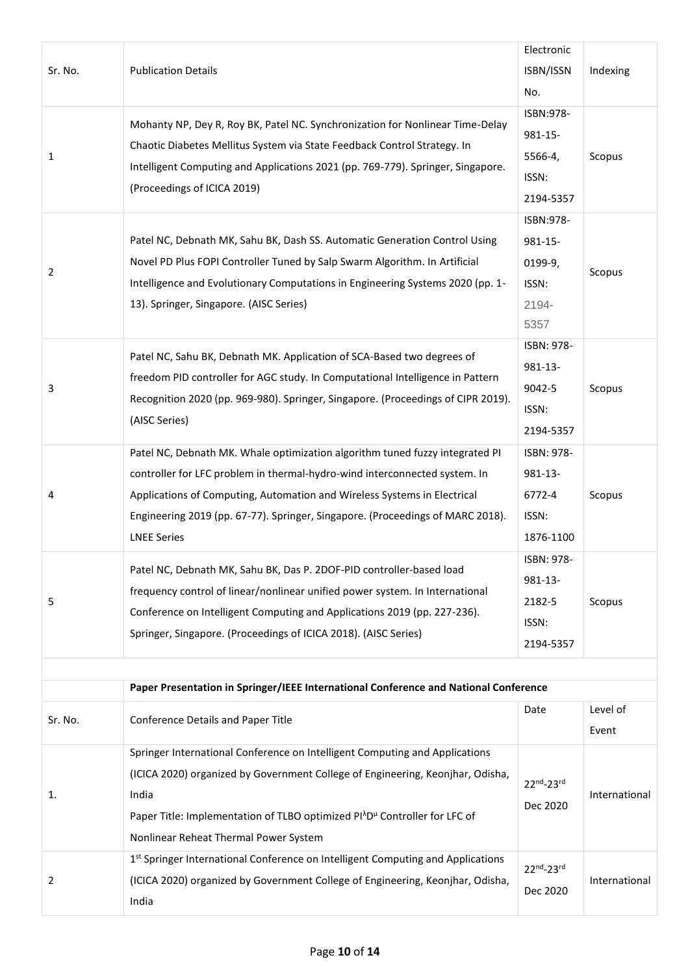|         |                                                                                                                       | Electronic |               |
|---------|-----------------------------------------------------------------------------------------------------------------------|------------|---------------|
| Sr. No. | <b>Publication Details</b>                                                                                            | ISBN/ISSN  | Indexing      |
|         |                                                                                                                       | No.        |               |
|         |                                                                                                                       | ISBN:978-  |               |
|         | Mohanty NP, Dey R, Roy BK, Patel NC. Synchronization for Nonlinear Time-Delay                                         | 981-15-    |               |
| 1       | Chaotic Diabetes Mellitus System via State Feedback Control Strategy. In                                              | 5566-4,    | Scopus        |
|         | Intelligent Computing and Applications 2021 (pp. 769-779). Springer, Singapore.                                       | ISSN:      |               |
|         | (Proceedings of ICICA 2019)                                                                                           | 2194-5357  |               |
|         |                                                                                                                       | ISBN:978-  |               |
|         | Patel NC, Debnath MK, Sahu BK, Dash SS. Automatic Generation Control Using                                            | 981-15-    |               |
|         | Novel PD Plus FOPI Controller Tuned by Salp Swarm Algorithm. In Artificial                                            | 0199-9,    |               |
| 2       | Intelligence and Evolutionary Computations in Engineering Systems 2020 (pp. 1-                                        | ISSN:      | Scopus        |
|         | 13). Springer, Singapore. (AISC Series)                                                                               | 2194-      |               |
|         |                                                                                                                       | 5357       |               |
|         |                                                                                                                       | ISBN: 978- |               |
|         | Patel NC, Sahu BK, Debnath MK. Application of SCA-Based two degrees of                                                | 981-13-    |               |
| 3       | freedom PID controller for AGC study. In Computational Intelligence in Pattern                                        | 9042-5     | Scopus        |
|         | Recognition 2020 (pp. 969-980). Springer, Singapore. (Proceedings of CIPR 2019).                                      | ISSN:      |               |
|         | (AISC Series)                                                                                                         | 2194-5357  |               |
|         | Patel NC, Debnath MK. Whale optimization algorithm tuned fuzzy integrated PI                                          | ISBN: 978- |               |
|         | controller for LFC problem in thermal-hydro-wind interconnected system. In                                            | 981-13-    | Scopus        |
| 4       | Applications of Computing, Automation and Wireless Systems in Electrical                                              | 6772-4     |               |
|         | Engineering 2019 (pp. 67-77). Springer, Singapore. (Proceedings of MARC 2018).                                        | ISSN:      |               |
|         | <b>LNEE Series</b>                                                                                                    | 1876-1100  |               |
|         |                                                                                                                       | ISBN: 978- |               |
|         | Patel NC, Debnath MK, Sahu BK, Das P. 2DOF-PID controller-based load                                                  | 981-13-    |               |
| 5       | frequency control of linear/nonlinear unified power system. In International                                          | 2182-5     | Scopus        |
|         | Conference on Intelligent Computing and Applications 2019 (pp. 227-236).                                              | ISSN:      |               |
|         | Springer, Singapore. (Proceedings of ICICA 2018). (AISC Series)                                                       | 2194-5357  |               |
|         |                                                                                                                       |            |               |
|         | Paper Presentation in Springer/IEEE International Conference and National Conference                                  |            |               |
|         |                                                                                                                       | Date       | Level of      |
| Sr. No. | Conference Details and Paper Title                                                                                    |            | Event         |
|         | Springer International Conference on Intelligent Computing and Applications                                           |            |               |
| 1.      | (ICICA 2020) organized by Government College of Engineering, Keonjhar, Odisha,                                        | 22nd-23rd  |               |
|         | India                                                                                                                 | Dec 2020   | International |
|         | Paper Title: Implementation of TLBO optimized PI <sup><math>\lambda</math></sup> D <sup>µ</sup> Controller for LFC of |            |               |
|         | Nonlinear Reheat Thermal Power System                                                                                 |            |               |
|         | 1st Springer International Conference on Intelligent Computing and Applications                                       | 22nd-23rd  |               |
| 2       | (ICICA 2020) organized by Government College of Engineering, Keonjhar, Odisha,                                        |            | International |
|         | India                                                                                                                 | Dec 2020   |               |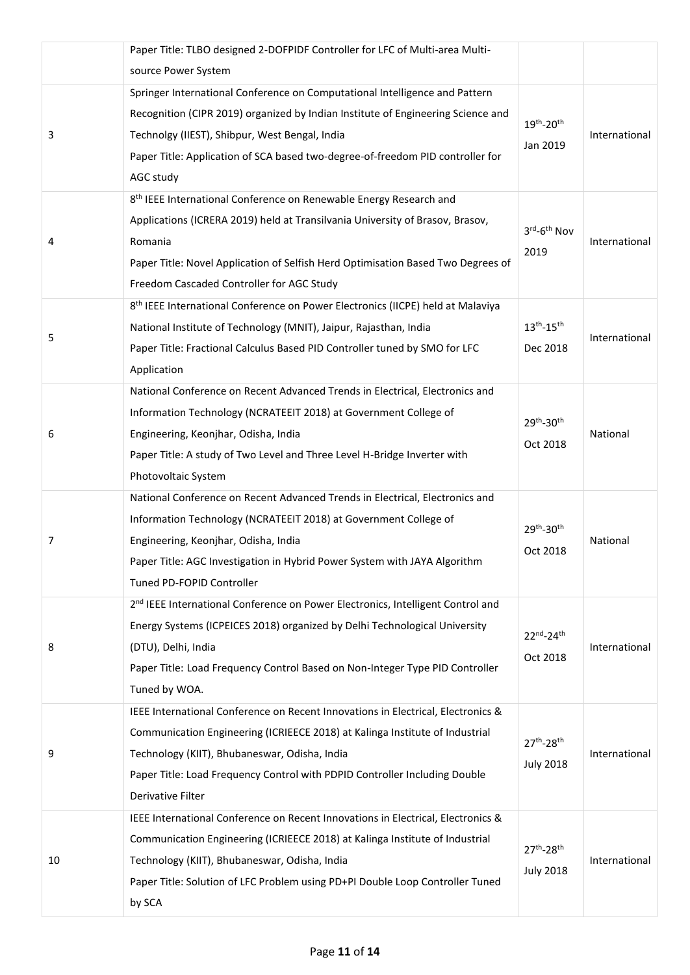|    | Paper Title: TLBO designed 2-DOFPIDF Controller for LFC of Multi-area Multi-                |                         |               |
|----|---------------------------------------------------------------------------------------------|-------------------------|---------------|
|    | source Power System                                                                         |                         |               |
|    | Springer International Conference on Computational Intelligence and Pattern                 |                         |               |
| 3  | Recognition (CIPR 2019) organized by Indian Institute of Engineering Science and            | 19th-20th               |               |
|    | Technolgy (IIEST), Shibpur, West Bengal, India                                              | Jan 2019                | International |
|    | Paper Title: Application of SCA based two-degree-of-freedom PID controller for              |                         |               |
|    | AGC study                                                                                   |                         |               |
|    | 8 <sup>th</sup> IEEE International Conference on Renewable Energy Research and              |                         |               |
|    | Applications (ICRERA 2019) held at Transilvania University of Brasov, Brasov,               | 3rd-6 <sup>th</sup> Nov | International |
| 4  | Romania                                                                                     |                         |               |
|    | Paper Title: Novel Application of Selfish Herd Optimisation Based Two Degrees of            | 2019                    |               |
|    | Freedom Cascaded Controller for AGC Study                                                   |                         |               |
|    | 8 <sup>th</sup> IEEE International Conference on Power Electronics (IICPE) held at Malaviya |                         |               |
|    | National Institute of Technology (MNIT), Jaipur, Rajasthan, India                           | $13^{th} - 15^{th}$     |               |
| 5  | Paper Title: Fractional Calculus Based PID Controller tuned by SMO for LFC                  | Dec 2018                | International |
|    | Application                                                                                 |                         |               |
|    | National Conference on Recent Advanced Trends in Electrical, Electronics and                |                         |               |
|    | Information Technology (NCRATEEIT 2018) at Government College of                            | 29th-30th               |               |
| 6  | Engineering, Keonjhar, Odisha, India                                                        |                         | National      |
|    | Paper Title: A study of Two Level and Three Level H-Bridge Inverter with                    | Oct 2018                |               |
|    | Photovoltaic System                                                                         |                         |               |
|    | National Conference on Recent Advanced Trends in Electrical, Electronics and                |                         |               |
|    | Information Technology (NCRATEEIT 2018) at Government College of                            | 29th-30th               |               |
| 7  | Engineering, Keonjhar, Odisha, India                                                        | Oct 2018                | National      |
|    | Paper Title: AGC Investigation in Hybrid Power System with JAYA Algorithm                   |                         |               |
|    | Tuned PD-FOPID Controller                                                                   |                         |               |
|    | 2 <sup>nd</sup> IEEE International Conference on Power Electronics, Intelligent Control and |                         |               |
|    | Energy Systems (ICPEICES 2018) organized by Delhi Technological University                  | 22nd-24th               |               |
| 8  | (DTU), Delhi, India                                                                         | Oct 2018                | International |
|    | Paper Title: Load Frequency Control Based on Non-Integer Type PID Controller                |                         |               |
|    | Tuned by WOA.                                                                               |                         |               |
|    | IEEE International Conference on Recent Innovations in Electrical, Electronics &            |                         |               |
| 9  | Communication Engineering (ICRIEECE 2018) at Kalinga Institute of Industrial                | 27th-28th               |               |
|    | Technology (KIIT), Bhubaneswar, Odisha, India                                               | <b>July 2018</b>        | International |
|    | Paper Title: Load Frequency Control with PDPID Controller Including Double                  |                         |               |
|    | Derivative Filter                                                                           |                         |               |
|    | IEEE International Conference on Recent Innovations in Electrical, Electronics &            |                         |               |
|    | Communication Engineering (ICRIEECE 2018) at Kalinga Institute of Industrial                | $27^{th} - 28^{th}$     |               |
| 10 | Technology (KIIT), Bhubaneswar, Odisha, India                                               | <b>July 2018</b>        | International |
|    | Paper Title: Solution of LFC Problem using PD+PI Double Loop Controller Tuned               |                         |               |
|    | by SCA                                                                                      |                         |               |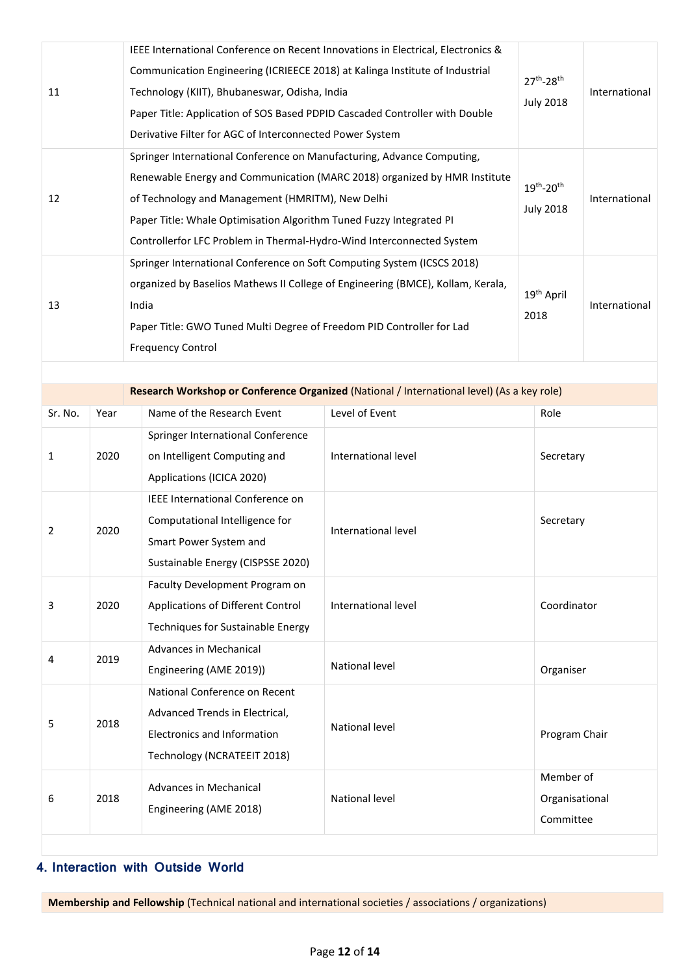| IEEE International Conference on Recent Innovations in Electrical, Electronics &<br>Communication Engineering (ICRIEECE 2018) at Kalinga Institute of Industrial<br>Technology (KIIT), Bhubaneswar, Odisha, India<br>11<br>Paper Title: Application of SOS Based PDPID Cascaded Controller with Double<br>Derivative Filter for AGC of Interconnected Power System<br>Springer International Conference on Manufacturing, Advance Computing, |                                                                                                                                                                                                                                                                          |                                                                                            |  |                                          | International |
|----------------------------------------------------------------------------------------------------------------------------------------------------------------------------------------------------------------------------------------------------------------------------------------------------------------------------------------------------------------------------------------------------------------------------------------------|--------------------------------------------------------------------------------------------------------------------------------------------------------------------------------------------------------------------------------------------------------------------------|--------------------------------------------------------------------------------------------|--|------------------------------------------|---------------|
| Renewable Energy and Communication (MARC 2018) organized by HMR Institute<br>of Technology and Management (HMRITM), New Delhi<br>12<br>Paper Title: Whale Optimisation Algorithm Tuned Fuzzy Integrated PI<br>Controllerfor LFC Problem in Thermal-Hydro-Wind Interconnected System                                                                                                                                                          |                                                                                                                                                                                                                                                                          |                                                                                            |  | $19^{th} - 20^{th}$<br><b>July 2018</b>  | International |
| 13                                                                                                                                                                                                                                                                                                                                                                                                                                           | Springer International Conference on Soft Computing System (ICSCS 2018)<br>organized by Baselios Mathews II College of Engineering (BMCE), Kollam, Kerala,<br>India<br>Paper Title: GWO Tuned Multi Degree of Freedom PID Controller for Lad<br><b>Frequency Control</b> |                                                                                            |  |                                          | International |
|                                                                                                                                                                                                                                                                                                                                                                                                                                              |                                                                                                                                                                                                                                                                          |                                                                                            |  |                                          |               |
|                                                                                                                                                                                                                                                                                                                                                                                                                                              |                                                                                                                                                                                                                                                                          | Research Workshop or Conference Organized (National / International level) (As a key role) |  |                                          |               |
| Sr. No.                                                                                                                                                                                                                                                                                                                                                                                                                                      |                                                                                                                                                                                                                                                                          | Name of the Research Event<br>Level of Event<br>Year                                       |  | Role                                     |               |
| 1                                                                                                                                                                                                                                                                                                                                                                                                                                            | Springer International Conference<br>on Intelligent Computing and<br>International level<br>2020<br>Applications (ICICA 2020)                                                                                                                                            |                                                                                            |  | Secretary                                |               |
| 2                                                                                                                                                                                                                                                                                                                                                                                                                                            | IEEE International Conference on<br>Computational Intelligence for<br>International level<br>2020<br>Smart Power System and<br>Sustainable Energy (CISPSSE 2020)                                                                                                         |                                                                                            |  | Secretary                                |               |
| 3                                                                                                                                                                                                                                                                                                                                                                                                                                            | Faculty Development Program on<br>2020<br>Applications of Different Control<br>International level<br>Techniques for Sustainable Energy                                                                                                                                  |                                                                                            |  | Coordinator                              |               |
| 4                                                                                                                                                                                                                                                                                                                                                                                                                                            | 2019                                                                                                                                                                                                                                                                     | Advances in Mechanical<br><b>National level</b><br>Engineering (AME 2019))                 |  | Organiser                                |               |
| 5                                                                                                                                                                                                                                                                                                                                                                                                                                            | National Conference on Recent<br>Advanced Trends in Electrical,<br>2018<br>National level<br><b>Electronics and Information</b><br>Technology (NCRATEEIT 2018)                                                                                                           |                                                                                            |  | Program Chair                            |               |
| 6                                                                                                                                                                                                                                                                                                                                                                                                                                            | 2018                                                                                                                                                                                                                                                                     | Advances in Mechanical<br>National level<br>Engineering (AME 2018)                         |  | Member of<br>Organisational<br>Committee |               |
|                                                                                                                                                                                                                                                                                                                                                                                                                                              |                                                                                                                                                                                                                                                                          |                                                                                            |  |                                          |               |

### **4. Interaction with Outside World**

**Membership and Fellowship** (Technical national and international societies / associations / organizations)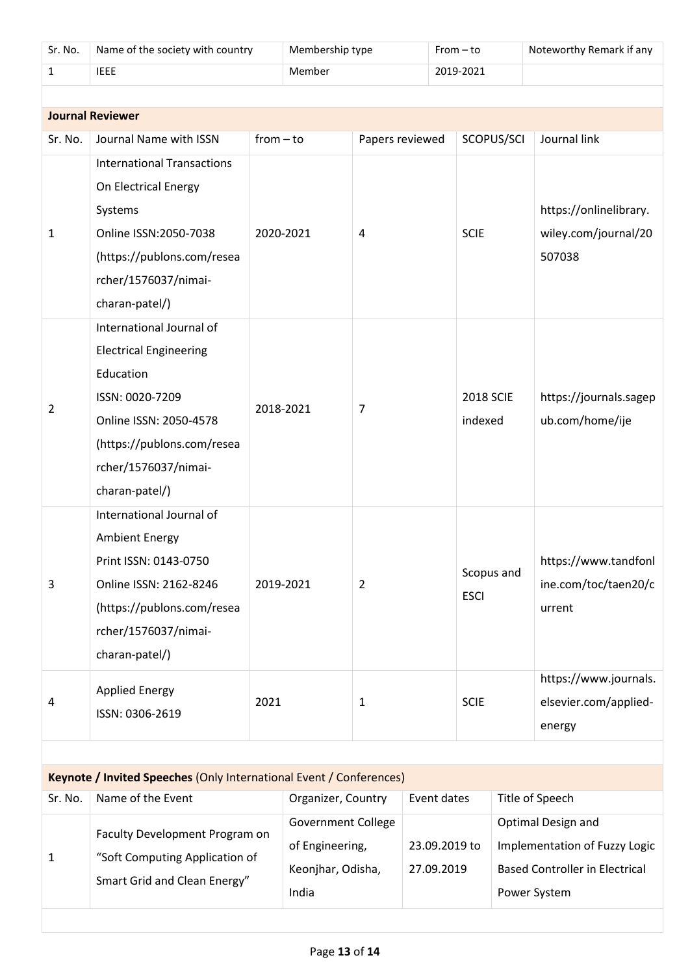| Sr. No.                                                             | Name of the society with country                                                                                                                                                            | Membership type                                                            |                    |                  | $From - to$                 |                                                          |                                                                                                              | Noteworthy Remark if any                                 |  |
|---------------------------------------------------------------------|---------------------------------------------------------------------------------------------------------------------------------------------------------------------------------------------|----------------------------------------------------------------------------|--------------------|------------------|-----------------------------|----------------------------------------------------------|--------------------------------------------------------------------------------------------------------------|----------------------------------------------------------|--|
| $\mathbf{1}$                                                        | <b>IEEE</b>                                                                                                                                                                                 | Member                                                                     |                    |                  | 2019-2021                   |                                                          |                                                                                                              |                                                          |  |
|                                                                     |                                                                                                                                                                                             |                                                                            |                    |                  |                             |                                                          |                                                                                                              |                                                          |  |
| <b>Journal Reviewer</b>                                             |                                                                                                                                                                                             |                                                                            |                    |                  |                             |                                                          |                                                                                                              |                                                          |  |
| Sr. No.                                                             | Journal Name with ISSN                                                                                                                                                                      | $from - to$                                                                |                    | Papers reviewed  |                             |                                                          | SCOPUS/SCI                                                                                                   | Journal link                                             |  |
| 1                                                                   | <b>International Transactions</b><br>On Electrical Energy<br>Systems<br>Online ISSN: 2050-7038<br>(https://publons.com/resea<br>rcher/1576037/nimai-<br>charan-patel/)                      |                                                                            | 2020-2021          | <b>SCIE</b><br>4 |                             | https://onlinelibrary.<br>wiley.com/journal/20<br>507038 |                                                                                                              |                                                          |  |
| 2                                                                   | International Journal of<br><b>Electrical Engineering</b><br>Education<br>ISSN: 0020-7209<br>Online ISSN: 2050-4578<br>(https://publons.com/resea<br>rcher/1576037/nimai-<br>charan-patel/) |                                                                            | 2018-2021          | 7                | <b>2018 SCIE</b><br>indexed |                                                          |                                                                                                              | https://journals.sagep<br>ub.com/home/ije                |  |
| 3                                                                   | International Journal of<br><b>Ambient Energy</b><br>Print ISSN: 0143-0750<br>Online ISSN: 2162-8246<br>(https://publons.com/resea<br>rcher/1576037/nimai-<br>charan-patel/)                |                                                                            | 2019-2021          | $\overline{2}$   |                             | <b>ESCI</b>                                              | Scopus and                                                                                                   | https://www.tandfonl<br>ine.com/toc/taen20/c<br>urrent   |  |
| 4                                                                   | <b>Applied Energy</b><br>ISSN: 0306-2619                                                                                                                                                    | 2021                                                                       |                    | $\mathbf{1}$     |                             | <b>SCIE</b>                                              |                                                                                                              | https://www.journals.<br>elsevier.com/applied-<br>energy |  |
|                                                                     |                                                                                                                                                                                             |                                                                            |                    |                  |                             |                                                          |                                                                                                              |                                                          |  |
| Keynote / Invited Speeches (Only International Event / Conferences) |                                                                                                                                                                                             |                                                                            |                    |                  |                             |                                                          |                                                                                                              |                                                          |  |
| Sr. No.                                                             | Name of the Event                                                                                                                                                                           |                                                                            | Organizer, Country | Event dates      |                             |                                                          |                                                                                                              | Title of Speech                                          |  |
| 1                                                                   | Faculty Development Program on<br>"Soft Computing Application of<br>Smart Grid and Clean Energy"                                                                                            | <b>Government College</b><br>of Engineering,<br>Keonjhar, Odisha,<br>India |                    |                  | 23.09.2019 to<br>27.09.2019 |                                                          | Optimal Design and<br>Implementation of Fuzzy Logic<br><b>Based Controller in Electrical</b><br>Power System |                                                          |  |
|                                                                     |                                                                                                                                                                                             |                                                                            |                    |                  |                             |                                                          |                                                                                                              |                                                          |  |